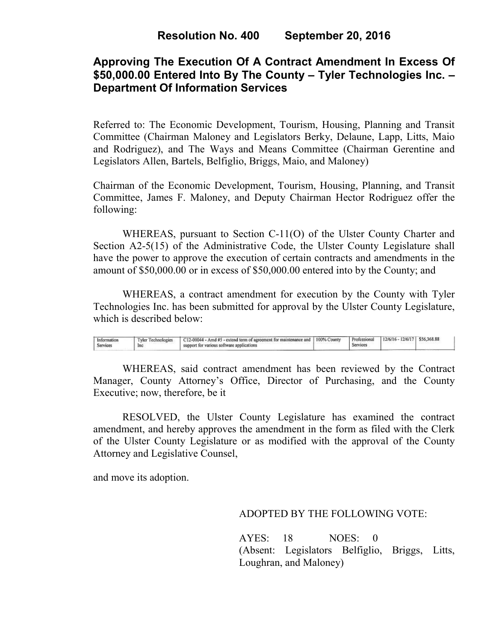# **Approving The Execution Of A Contract Amendment In Excess Of \$50,000.00 Entered Into By The County – Tyler Technologies Inc. – Department Of Information Services**

Referred to: The Economic Development, Tourism, Housing, Planning and Transit Committee (Chairman Maloney and Legislators Berky, Delaune, Lapp, Litts, Maio and Rodriguez), and The Ways and Means Committee (Chairman Gerentine and Legislators Allen, Bartels, Belfiglio, Briggs, Maio, and Maloney)

Chairman of the Economic Development, Tourism, Housing, Planning, and Transit Committee, James F. Maloney, and Deputy Chairman Hector Rodriguez offer the following:

WHEREAS, pursuant to Section C-11(O) of the Ulster County Charter and Section A2-5(15) of the Administrative Code, the Ulster County Legislature shall have the power to approve the execution of certain contracts and amendments in the amount of \$50,000.00 or in excess of \$50,000.00 entered into by the County; and

 WHEREAS, a contract amendment for execution by the County with Tyler Technologies Inc. has been submitted for approval by the Ulster County Legislature, which is described below:

| Information<br><b>Service</b> | Inc | C12-00044 - Amd #5 - extend term of agreement for maintenance and   100% County<br>support for various software applications | Professional<br>services | $12/6/16 - 12/6/17$ | \$56,368,88 |  |
|-------------------------------|-----|------------------------------------------------------------------------------------------------------------------------------|--------------------------|---------------------|-------------|--|
|                               |     |                                                                                                                              |                          |                     |             |  |

WHEREAS, said contract amendment has been reviewed by the Contract Manager, County Attorney's Office, Director of Purchasing, and the County Executive; now, therefore, be it

RESOLVED, the Ulster County Legislature has examined the contract amendment, and hereby approves the amendment in the form as filed with the Clerk of the Ulster County Legislature or as modified with the approval of the County Attorney and Legislative Counsel,

and move its adoption.

ADOPTED BY THE FOLLOWING VOTE:

AYES: 18 NOES: 0 (Absent: Legislators Belfiglio, Briggs, Litts, Loughran, and Maloney)